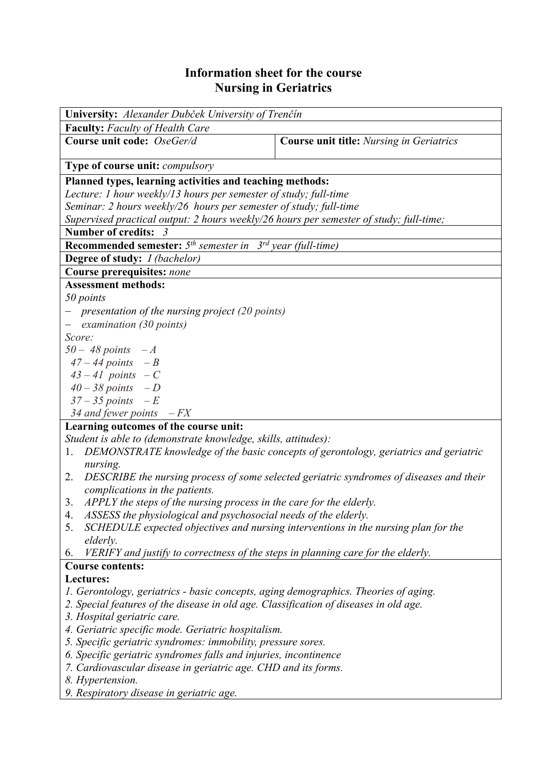## **Information sheet for the course Nursing in Geriatrics**

| University: Alexander Dubček University of Trenčín                                            |                                                                                      |  |  |  |  |
|-----------------------------------------------------------------------------------------------|--------------------------------------------------------------------------------------|--|--|--|--|
| <b>Faculty:</b> Faculty of Health Care                                                        |                                                                                      |  |  |  |  |
| Course unit code: OseGer/d                                                                    | <b>Course unit title:</b> Nursing in Geriatrics                                      |  |  |  |  |
| <b>Type of course unit: compulsory</b>                                                        |                                                                                      |  |  |  |  |
| Planned types, learning activities and teaching methods:                                      |                                                                                      |  |  |  |  |
| Lecture: 1 hour weekly/13 hours per semester of study; full-time                              |                                                                                      |  |  |  |  |
| Seminar: 2 hours weekly/26 hours per semester of study; full-time                             |                                                                                      |  |  |  |  |
| Supervised practical output: 2 hours weekly/26 hours per semester of study; full-time;        |                                                                                      |  |  |  |  |
| Number of credits: 3                                                                          |                                                                                      |  |  |  |  |
| <b>Recommended semester:</b> $5th$ semester in $3rd$ year (full-time)                         |                                                                                      |  |  |  |  |
| <b>Degree of study:</b> <i>I (bachelor)</i>                                                   |                                                                                      |  |  |  |  |
| <b>Course prerequisites: none</b>                                                             |                                                                                      |  |  |  |  |
| <b>Assessment methods:</b>                                                                    |                                                                                      |  |  |  |  |
| 50 points                                                                                     |                                                                                      |  |  |  |  |
| - presentation of the nursing project (20 points)                                             |                                                                                      |  |  |  |  |
| examination (30 points)<br>$\overline{\phantom{0}}$                                           |                                                                                      |  |  |  |  |
| Score:                                                                                        |                                                                                      |  |  |  |  |
| $50 - 48$ points $-A$                                                                         |                                                                                      |  |  |  |  |
| $47 - 44$ points $-B$                                                                         |                                                                                      |  |  |  |  |
| $43 - 41$ points $-C$                                                                         |                                                                                      |  |  |  |  |
| $40 - 38$ points $-D$                                                                         |                                                                                      |  |  |  |  |
| $37 - 35$ points $-E$                                                                         |                                                                                      |  |  |  |  |
| 34 and fewer points $-FX$                                                                     |                                                                                      |  |  |  |  |
| Learning outcomes of the course unit:                                                         |                                                                                      |  |  |  |  |
| Student is able to (demonstrate knowledge, skills, attitudes):                                |                                                                                      |  |  |  |  |
| 1.                                                                                            | DEMONSTRATE knowledge of the basic concepts of gerontology, geriatrics and geriatric |  |  |  |  |
| nursing.                                                                                      |                                                                                      |  |  |  |  |
| DESCRIBE the nursing process of some selected geriatric syndromes of diseases and their<br>2. |                                                                                      |  |  |  |  |
| complications in the patients.                                                                |                                                                                      |  |  |  |  |
| APPLY the steps of the nursing process in the care for the elderly.<br>3.                     |                                                                                      |  |  |  |  |
| ASSESS the physiological and psychosocial needs of the elderly.<br>4.                         |                                                                                      |  |  |  |  |
| SCHEDULE expected objectives and nursing interventions in the nursing plan for the<br>5.      |                                                                                      |  |  |  |  |
| elderly.                                                                                      |                                                                                      |  |  |  |  |
| VERIFY and justify to correctness of the steps in planning care for the elderly.<br>6.        |                                                                                      |  |  |  |  |
| <b>Course contents:</b>                                                                       |                                                                                      |  |  |  |  |
| Lectures:                                                                                     |                                                                                      |  |  |  |  |
| 1. Gerontology, geriatrics - basic concepts, aging demographics. Theories of aging.           |                                                                                      |  |  |  |  |
| 2. Special features of the disease in old age. Classification of diseases in old age.         |                                                                                      |  |  |  |  |
| 3. Hospital geriatric care.                                                                   |                                                                                      |  |  |  |  |
| 4. Geriatric specific mode. Geriatric hospitalism.                                            |                                                                                      |  |  |  |  |
| 5. Specific geriatric syndromes: immobility, pressure sores.                                  |                                                                                      |  |  |  |  |
| 6. Specific geriatric syndromes falls and injuries, incontinence                              |                                                                                      |  |  |  |  |
| 7. Cardiovascular disease in geriatric age. CHD and its forms.                                |                                                                                      |  |  |  |  |
| 8. Hypertension.                                                                              |                                                                                      |  |  |  |  |
| 9. Respiratory disease in geriatric age.                                                      |                                                                                      |  |  |  |  |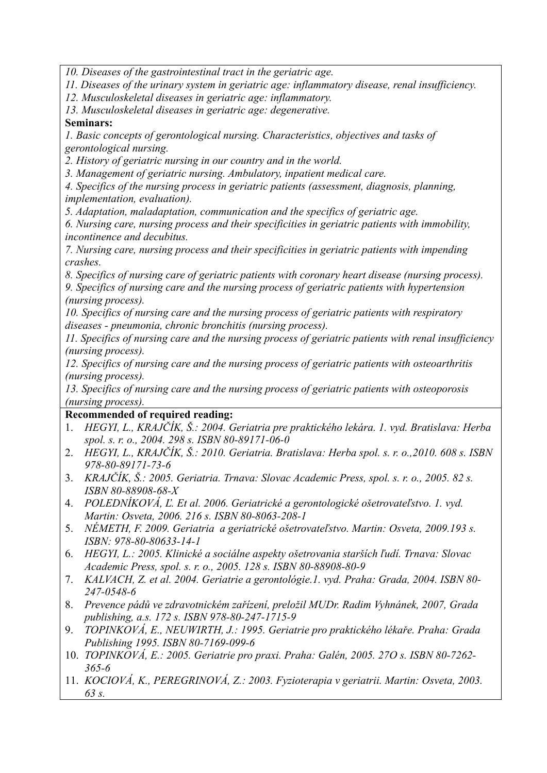*10. Diseases of the gastrointestinal tract in the geriatric age.* 

*11. Diseases of the urinary system in geriatric age: inflammatory disease, renal insufficiency.* 

*12. Musculoskeletal diseases in geriatric age: inflammatory.* 

*13. Musculoskeletal diseases in geriatric age: degenerative.* 

## **Seminars:**

*1. Basic concepts of gerontological nursing. Characteristics, objectives and tasks of gerontological nursing.* 

*2. History of geriatric nursing in our country and in the world.* 

*3. Management of geriatric nursing. Ambulatory, inpatient medical care.* 

*4. Specifics of the nursing process in geriatric patients (assessment, diagnosis, planning, implementation, evaluation).* 

*5. Adaptation, maladaptation, communication and the specifics of geriatric age.* 

*6. Nursing care, nursing process and their specificities in geriatric patients with immobility, incontinence and decubitus.* 

*7. Nursing care, nursing process and their specificities in geriatric patients with impending crashes.* 

*8. Specifics of nursing care of geriatric patients with coronary heart disease (nursing process). 9. Specifics of nursing care and the nursing process of geriatric patients with hypertension* 

*(nursing process).* 

*10. Specifics of nursing care and the nursing process of geriatric patients with respiratory diseases - pneumonia, chronic bronchitis (nursing process).* 

*11. Specifics of nursing care and the nursing process of geriatric patients with renal insufficiency (nursing process).* 

*12. Specifics of nursing care and the nursing process of geriatric patients with osteoarthritis (nursing process).* 

*13. Specifics of nursing care and the nursing process of geriatric patients with osteoporosis (nursing process).*

## **Recommended of required reading:**

- 1. *HEGYI, L., KRAJČÍK, Š.: 2004. Geriatria pre praktického lekára. 1. vyd. Bratislava: Herba spol. s. r. o., 2004. 298 s. ISBN 80-89171-06-0*
- 2. *HEGYI, L., KRAJČÍK, Š.: 2010. Geriatria. Bratislava: Herba spol. s. r. o.,2010. 608 s. ISBN 978-80-89171-73-6*
- 3. *KRAJČÍK, Š.: 2005. Geriatria. Trnava: Slovac Academic Press, spol. s. r. o., 2005. 82 s. ISBN 80-88908-68-X*
- 4. *POLEDNÍKOVÁ, Ľ. Et al. 2006. Geriatrické a gerontologické ošetrovateľstvo. 1. vyd. Martin: Osveta, 2006. 216 s. ISBN 80-8063-208-1*
- 5. *NÉMETH, F. 2009. Geriatria a geriatrické ošetrovateľstvo. Martin: Osveta, 2009.193 s. ISBN: 978-80-80633-14-1*
- 6. *HEGYI, L.: 2005. Klinické a sociálne aspekty ošetrovania starších ľudí. Trnava: Slovac Academic Press, spol. s. r. o., 2005. 128 s. ISBN 80-88908-80-9*
- 7. *KALVACH, Z. et al. 2004. Geriatrie a gerontológie.1. vyd. Praha: Grada, 2004. ISBN 80- 247-0548-6*
- 8. *Prevence pádů ve zdravotnickém zařízení, preložil MUDr. Radim Vyhnánek, 2007, Grada publishing, a.s. 172 s. ISBN 978-80-247-1715-9*
- 9. *TOPINKOVÁ, E., NEUWIRTH, J.: 1995. Geriatrie pro praktického lékaře. Praha: Grada Publishing 1995. ISBN 80-7169-099-6*
- 10. *TOPINKOVÁ, E.: 2005. Geriatrie pro praxi. Praha: Galén, 2005. 27O s. ISBN 80-7262- 365-6*
- 11. *KOCIOVÁ, K., PEREGRINOVÁ, Z.: 2003. Fyzioterapia v geriatrii. Martin: Osveta, 2003. 63 s.*